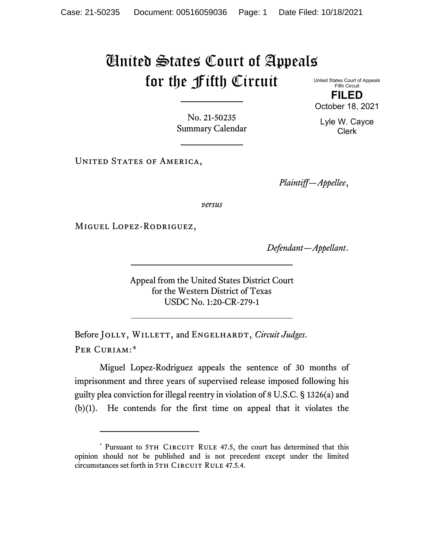## United States Court of Appeals for the Fifth Circuit

United States Court of Appeals Fifth Circuit **FILED** October 18, 2021

No. 21-50235 Summary Calendar

UNITED STATES OF AMERICA,

*Plaintiff—Appellee*,

*versus*

Miguel Lopez-Rodriguez,

*Defendant—Appellant*.

Appeal from the United States District Court for the Western District of Texas USDC No. 1:20-CR-279-1

Before JOLLY, WILLETT, and ENGELHARDT, *Circuit Judges*. Per Curiam:[\\*](#page-0-0)

Miguel Lopez-Rodriguez appeals the sentence of 30 months of imprisonment and three years of supervised release imposed following his guilty plea conviction for illegal reentry in violation of 8 U.S.C. § 1326(a) and (b)(1). He contends for the first time on appeal that it violates the

Lyle W. Cayce Clerk

<span id="page-0-0"></span><sup>\*</sup> Pursuant to 5TH CIRCUIT RULE 47.5, the court has determined that this opinion should not be published and is not precedent except under the limited circumstances set forth in 5TH CIRCUIT RULE 47.5.4.